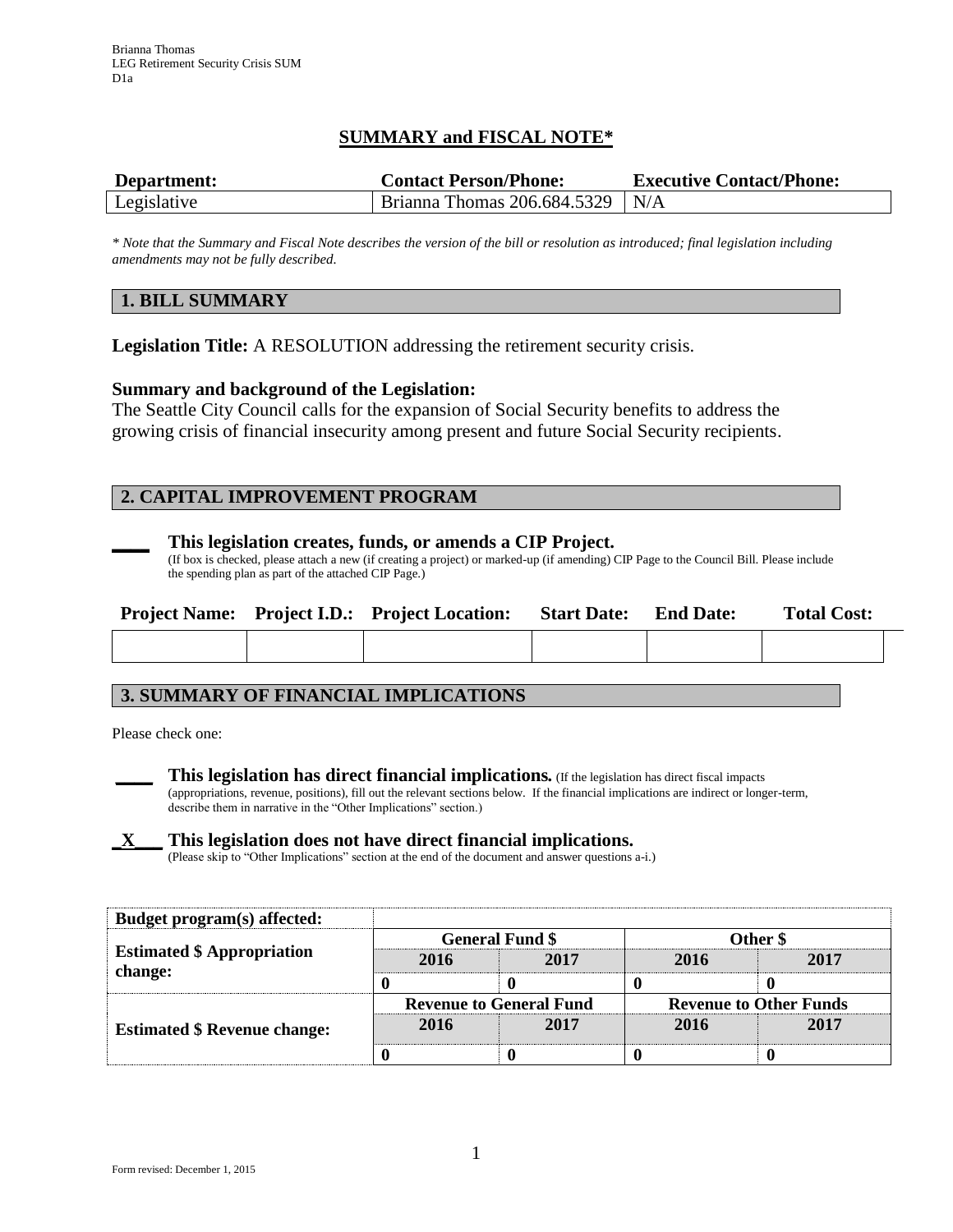# **SUMMARY and FISCAL NOTE\***

| Department: | <b>Contact Person/Phone:</b>      | <b>Executive Contact/Phone:</b> |  |  |
|-------------|-----------------------------------|---------------------------------|--|--|
| Legislative | Brianna Thomas $206.684.5329$ N/A |                                 |  |  |

*\* Note that the Summary and Fiscal Note describes the version of the bill or resolution as introduced; final legislation including amendments may not be fully described.*

## **1. BILL SUMMARY**

**Legislation Title:** A RESOLUTION addressing the retirement security crisis.

### **Summary and background of the Legislation:**

The Seattle City Council calls for the expansion of Social Security benefits to address the growing crisis of financial insecurity among present and future Social Security recipients.

## **2. CAPITAL IMPROVEMENT PROGRAM**



#### **\_\_\_\_ This legislation creates, funds, or amends a CIP Project.**

(If box is checked, please attach a new (if creating a project) or marked-up (if amending) CIP Page to the Council Bill. Please include the spending plan as part of the attached CIP Page.)

|  | <b>Project Name:</b> Project I.D.: Project Location: | <b>Start Date:</b> | <b>End Date:</b> | <b>Total Cost:</b> |
|--|------------------------------------------------------|--------------------|------------------|--------------------|
|  |                                                      |                    |                  |                    |

## **3. SUMMARY OF FINANCIAL IMPLICATIONS**

Please check one:



**\_\_\_\_ This legislation has direct financial implications***.* (If the legislation has direct fiscal impacts (appropriations, revenue, positions), fill out the relevant sections below. If the financial implications are indirect or longer-term, describe them in narrative in the "Other Implications" section.)

## **\_X\_\_\_ This legislation does not have direct financial implications.**

(Please skip to "Other Implications" section at the end of the document and answer questions a-i.)

| Budget program(s) affected:         |                                |      |                               |      |  |
|-------------------------------------|--------------------------------|------|-------------------------------|------|--|
|                                     | <b>General Fund \$</b>         |      | Other \$                      |      |  |
| <b>Estimated \$ Appropriation</b>   | 2016                           | 2017 | 2016                          | 2017 |  |
| change:                             |                                |      |                               |      |  |
| <b>Estimated \$ Revenue change:</b> | <b>Revenue to General Fund</b> |      | <b>Revenue to Other Funds</b> |      |  |
|                                     | 2016                           | 2017 | 2016                          | 2017 |  |
|                                     |                                |      |                               |      |  |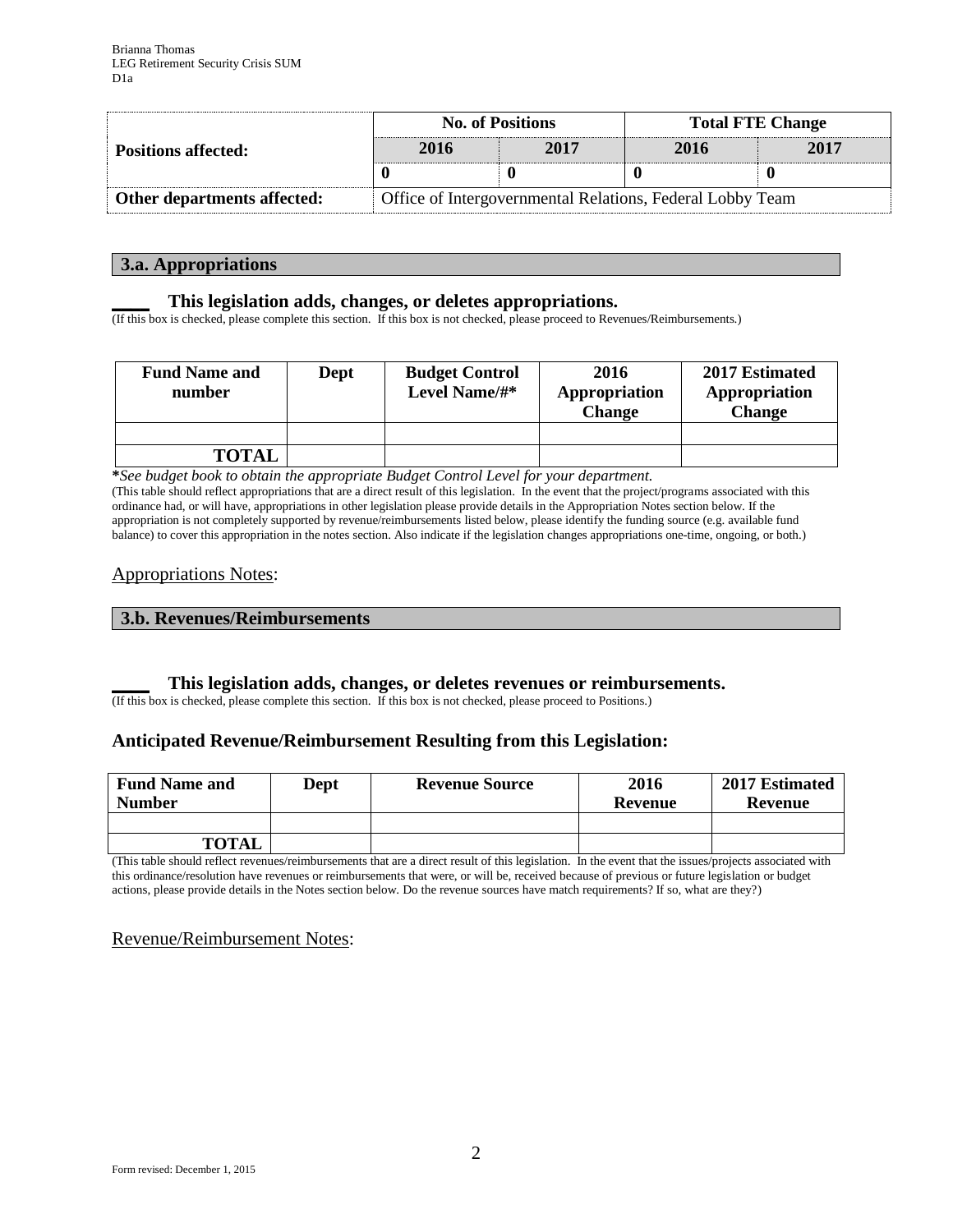|                             |                                                           | <b>No. of Positions</b> | <b>Total FTE Change</b> |      |  |
|-----------------------------|-----------------------------------------------------------|-------------------------|-------------------------|------|--|
| <b>Positions affected:</b>  | 2016                                                      | 2017                    | 2016                    | 2017 |  |
|                             |                                                           |                         |                         |      |  |
| Other departments affected: | Office of Intergovernmental Relations, Federal Lobby Team |                         |                         |      |  |

### **3.a. Appropriations**

### **\_\_\_\_ This legislation adds, changes, or deletes appropriations.**

(If this box is checked, please complete this section. If this box is not checked, please proceed to Revenues/Reimbursements.)

| <b>Fund Name and</b><br>number | Dept | <b>Budget Control</b><br>Level Name/#* | 2016<br>Appropriation<br><b>Change</b> | 2017 Estimated<br>Appropriation<br><b>Change</b> |
|--------------------------------|------|----------------------------------------|----------------------------------------|--------------------------------------------------|
|                                |      |                                        |                                        |                                                  |
| <b>TOTAL</b>                   |      |                                        |                                        |                                                  |

**\****See budget book to obtain the appropriate Budget Control Level for your department.*

(This table should reflect appropriations that are a direct result of this legislation. In the event that the project/programs associated with this ordinance had, or will have, appropriations in other legislation please provide details in the Appropriation Notes section below. If the appropriation is not completely supported by revenue/reimbursements listed below, please identify the funding source (e.g. available fund balance) to cover this appropriation in the notes section. Also indicate if the legislation changes appropriations one-time, ongoing, or both.)

## Appropriations Notes:

#### **3.b. Revenues/Reimbursements**

## **\_\_\_\_ This legislation adds, changes, or deletes revenues or reimbursements.**

(If this box is checked, please complete this section. If this box is not checked, please proceed to Positions.)

## **Anticipated Revenue/Reimbursement Resulting from this Legislation:**

| <b>Fund Name and</b><br><b>Number</b> | <b>Dept</b> | <b>Revenue Source</b> | 2016<br>Revenue | 2017 Estimated<br>Revenue |
|---------------------------------------|-------------|-----------------------|-----------------|---------------------------|
|                                       |             |                       |                 |                           |
| <b>TOTAL</b>                          |             |                       |                 |                           |

(This table should reflect revenues/reimbursements that are a direct result of this legislation. In the event that the issues/projects associated with this ordinance/resolution have revenues or reimbursements that were, or will be, received because of previous or future legislation or budget actions, please provide details in the Notes section below. Do the revenue sources have match requirements? If so, what are they?)

## Revenue/Reimbursement Notes: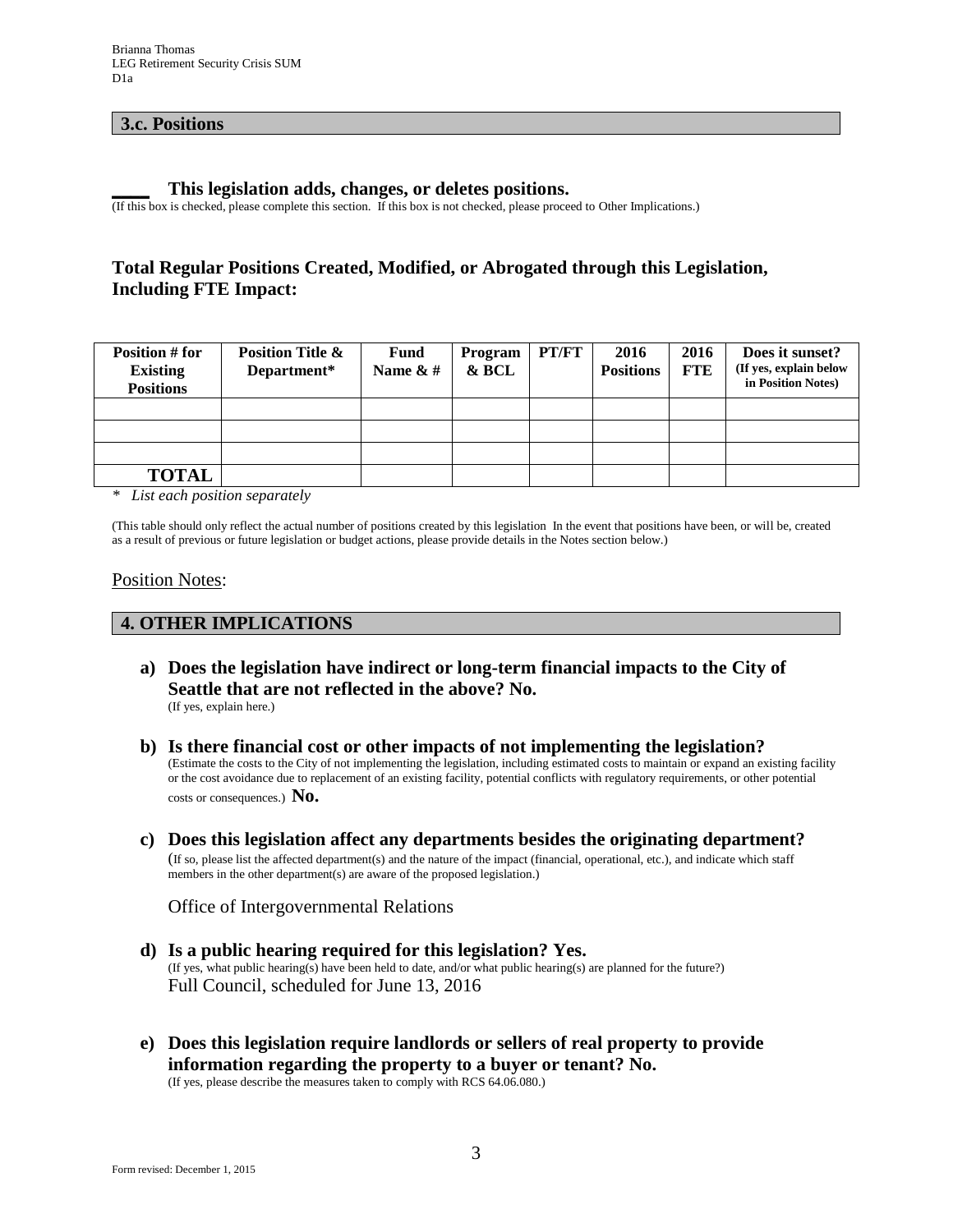## **3.c. Positions**

#### **\_\_\_\_ This legislation adds, changes, or deletes positions.**

(If this box is checked, please complete this section. If this box is not checked, please proceed to Other Implications.)

# **Total Regular Positions Created, Modified, or Abrogated through this Legislation, Including FTE Impact:**

| Position # for<br><b>Existing</b><br><b>Positions</b> | <b>Position Title &amp;</b><br>Department* | <b>Fund</b><br>Name $\&$ # | Program<br>& BCL | PT/FT | 2016<br><b>Positions</b> | 2016<br><b>FTE</b> | Does it sunset?<br>(If yes, explain below<br>in Position Notes) |
|-------------------------------------------------------|--------------------------------------------|----------------------------|------------------|-------|--------------------------|--------------------|-----------------------------------------------------------------|
|                                                       |                                            |                            |                  |       |                          |                    |                                                                 |
|                                                       |                                            |                            |                  |       |                          |                    |                                                                 |
|                                                       |                                            |                            |                  |       |                          |                    |                                                                 |
| <b>TOTAL</b>                                          |                                            |                            |                  |       |                          |                    |                                                                 |

*\* List each position separately*

(This table should only reflect the actual number of positions created by this legislation In the event that positions have been, or will be, created as a result of previous or future legislation or budget actions, please provide details in the Notes section below.)

#### Position Notes:

#### **4. OTHER IMPLICATIONS**

- **a) Does the legislation have indirect or long-term financial impacts to the City of Seattle that are not reflected in the above? No.** (If yes, explain here.)
- **b) Is there financial cost or other impacts of not implementing the legislation?** (Estimate the costs to the City of not implementing the legislation, including estimated costs to maintain or expand an existing facility or the cost avoidance due to replacement of an existing facility, potential conflicts with regulatory requirements, or other potential costs or consequences.) **No.**
- **c) Does this legislation affect any departments besides the originating department?**  (If so, please list the affected department(s) and the nature of the impact (financial, operational, etc.), and indicate which staff members in the other department(s) are aware of the proposed legislation.)

Office of Intergovernmental Relations

- **d) Is a public hearing required for this legislation? Yes.**  (If yes, what public hearing(s) have been held to date, and/or what public hearing(s) are planned for the future?) Full Council, scheduled for June 13, 2016
- **e) Does this legislation require landlords or sellers of real property to provide information regarding the property to a buyer or tenant? No.**

(If yes, please describe the measures taken to comply with RCS 64.06.080.)